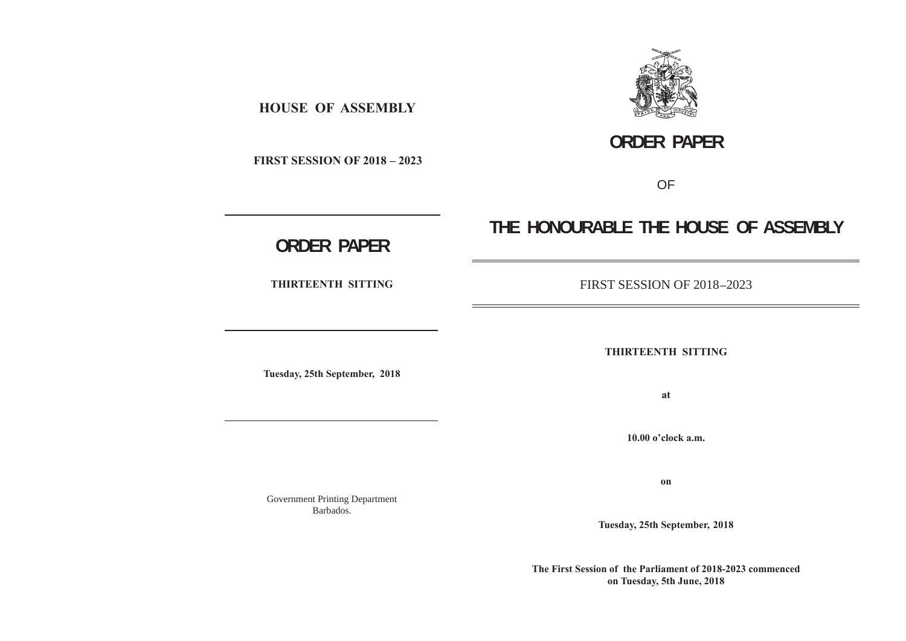

# **ORDER PAPER**

 **FIRST SESSION OF 2018 – 2023**

 **HOUSE OF ASSEMBLY**

OF

# **THE HONOURABLE THE HOUSE OF ASSEMBLY**

# **ORDER PAPER**

**THIRTEENTH SITTING**

**Tuesday, 25th September, 2018**

Government Printing Department Barbados.

FIRST SESSION OF 2018 **–**2023

**THIRTEENTH SITTING**

**at**

**10.00 o'clock a.m.**

**on**

**Tuesday, 25th September, 2018**

**The First Session of the Parliament of 2018-2023 commenced on Tuesday, 5th June, 2018**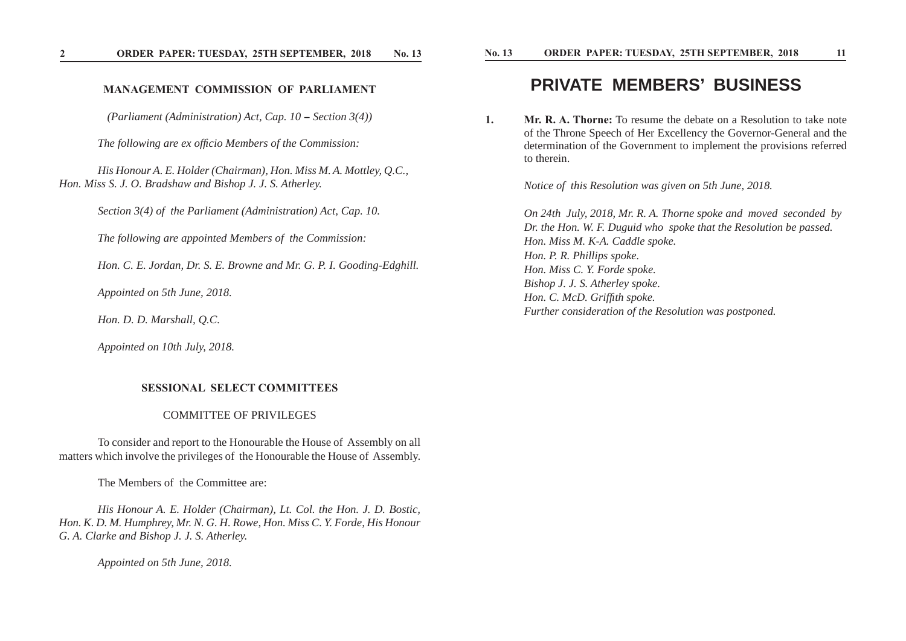#### **MANAGEMENT COMMISSION OF PARLIAMENT**

*(Parliament (Administration) Act, Cap. 10 - Section 3(4))* 

*The following are ex officio Members of the Commission:* 

 *His Honour A. E. Holder (Chairman), Hon. Miss M. A. Mottley, Q.C., Hon. Miss S. J. O. Bradshaw and Bishop J. J. S. Atherley.* 

 *Section 3(4) of the Parliament (Administration) Act, Cap. 10.*

 *The following are appointed Members of the Commission:*

 *Hon. C. E. Jordan, Dr. S. E. Browne and Mr. G. P. I. Gooding-Edghill.*

 *Appointed on 5th June, 2018.*

 *Hon. D. D. Marshall, Q.C.*

 *Appointed on 10th July, 2018.*

#### **SESSIONAL SELECT COMMITTEES**

#### COMMITTEE OF PRIVILEGES

 To consider and report to the Honourable the House of Assembly on all matters which involve the privileges of the Honourable the House of Assembly.

The Members of the Committee are:

 *His Honour A. E. Holder (Chairman), Lt. Col. the Hon. J. D. Bostic, Hon. K. D. M. Humphrey, Mr. N. G. H. Rowe, Hon. Miss C. Y. Forde, His Honour G. A. Clarke and Bishop J. J. S. Atherley.*

 *Appointed on 5th June, 2018.*

### **PRIVATE MEMBERS' BUSINESS**

**1. Mr. R. A. Thorne:** To resume the debate on a Resolution to take note of the Throne Speech of Her Excellency the Governor-General and the determination of the Government to implement the provisions referred to therein.

*Notice of this Resolution was given on 5th June, 2018.*

 *On 24th July, 2018, Mr. R. A. Thorne spoke and moved seconded by Dr. the Hon. W. F. Duguid who spoke that the Resolution be passed. Hon. Miss M. K-A. Caddle spoke. Hon. P. R. Phillips spoke. Hon. Miss C. Y. Forde spoke. Bishop J. J. S. Atherley spoke. Hon. C. McD. Griffith spoke. Further consideration of the Resolution was postponed.*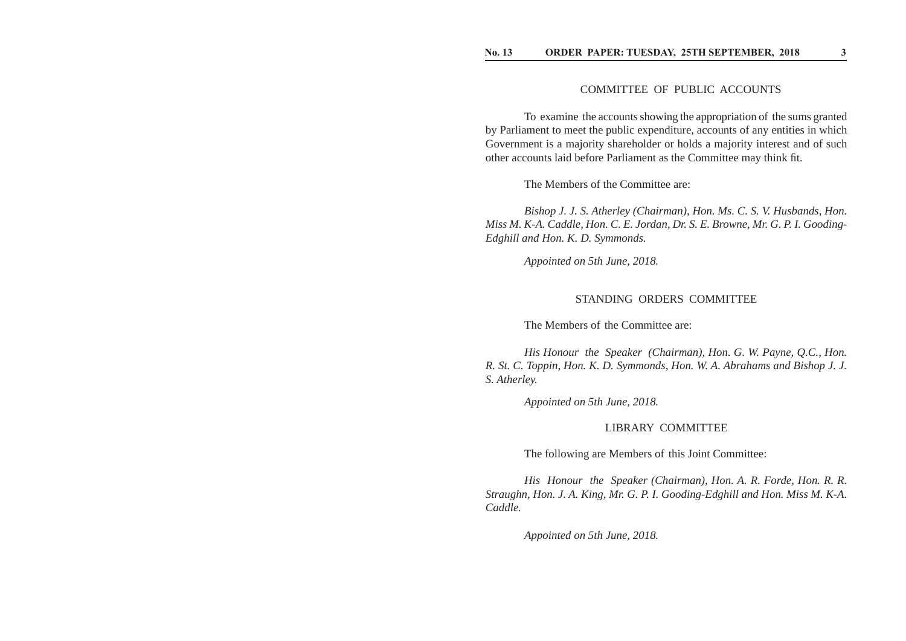#### COMMITTEE OF PUBLIC ACCOUNTS

 To examine the accounts showing the appropriation of the sums granted by Parliament to meet the public expenditure, accounts of any entities in which Government is a majority shareholder or holds a majority interest and of such other accounts laid before Parliament as the Committee may think fit.

The Members of the Committee are:

 *Bishop J. J. S. Atherley (Chairman), Hon. Ms. C. S. V. Husbands, Hon. Miss M. K-A. Caddle, Hon. C. E. Jordan, Dr. S. E. Browne, Mr. G. P. I. Gooding-Edghill and Hon. K. D. Symmonds.*

 *Appointed on 5th June, 2018.*

#### STANDING ORDERS COMMITTEE

The Members of the Committee are:

 *His Honour the Speaker (Chairman), Hon. G. W. Payne, Q.C., Hon. R. St. C. Toppin, Hon. K. D. Symmonds, Hon. W. A. Abrahams and Bishop J. J. S. Atherley.*

 *Appointed on 5th June, 2018.*

#### LIBRARY COMMITTEE

The following are Members of this Joint Committee:

 *His Honour the Speaker (Chairman), Hon. A. R. Forde, Hon. R. R. Straughn, Hon. J. A. King, Mr. G. P. I. Gooding-Edghill and Hon. Miss M. K-A. Caddle.*

 *Appointed on 5th June, 2018.*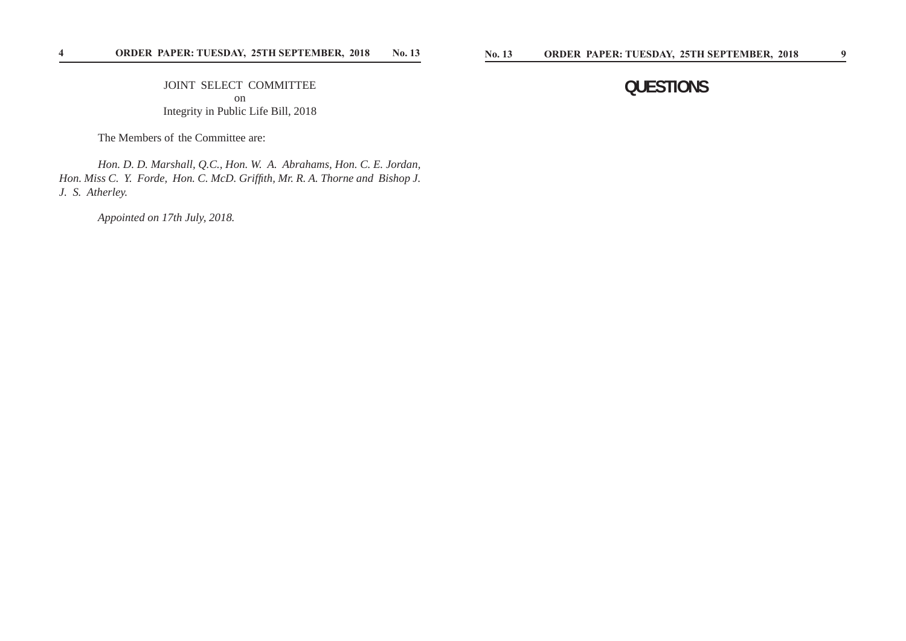JOINT SELECT COMMITTEE on Integrity in Public Life Bill, 2018

The Members of the Committee are:

 *Hon. D. D. Marshall, Q.C., Hon. W. A. Abrahams, Hon. C. E. Jordan, Hon. Miss C. Y. Forde, Hon. C. McD. Griffith, Mr. R. A. Thorne and Bishop J. J. S. Atherley.*

 *Appointed on 17th July, 2018.*

## **QUESTIONS**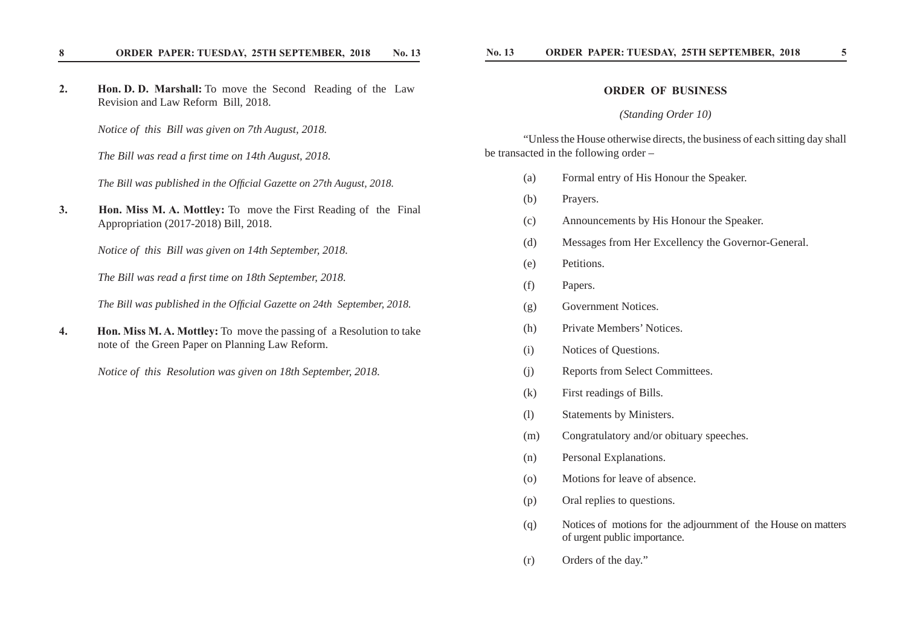#### 8 ORDER PAPER: TUESDAY, 25TH SEPTEMBER, 2018 No. 13

**2. Hon. D. D. Marshall:** To move the Second Reading of the Law Revision and Law Reform Bill, 2018.

*Notice of this Bill was given on 7th August, 2018.*

*The Bill was read a fi rst time on 14th August, 2018.*

*The Bill was published in the Official Gazette on 27th August, 2018.* 

**3. Hon. Miss M. A. Mottley:** To move the First Reading of the Final Appropriation (2017-2018) Bill, 2018.

*Notice of this Bill was given on 14th September, 2018.*

*The Bill was read a first time on 18th September, 2018.* 

*The Bill was published in the Official Gazette on 24th September, 2018.* 

**4. Hon. Miss M. A. Mottley:** To move the passing of a Resolution to take note of the Green Paper on Planning Law Reform.

*Notice of this Resolution was given on 18th September, 2018.*

#### **ORDER OF BUSINESS**

#### *(Standing Order 10)*

 "Unless the House otherwise directs, the business of each sitting day shall be transacted in the following order –

- (a) Formal entry of His Honour the Speaker.
- (b) Prayers.
- (c) Announcements by His Honour the Speaker.
- (d) Messages from Her Excellency the Governor-General.
- (e) Petitions.
- (f) Papers.
- (g) Government Notices.
- (h) Private Members' Notices.
- (i) Notices of Questions.
- (j) Reports from Select Committees.
- (k) First readings of Bills.
- (l) Statements by Ministers.
- (m) Congratulatory and/or obituary speeches.
- (n) Personal Explanations.
- (o) Motions for leave of absence.
- (p) Oral replies to questions.
- (q) Notices of motions for the adjournment of the House on matters of urgent public importance.
- (r) Orders of the day."